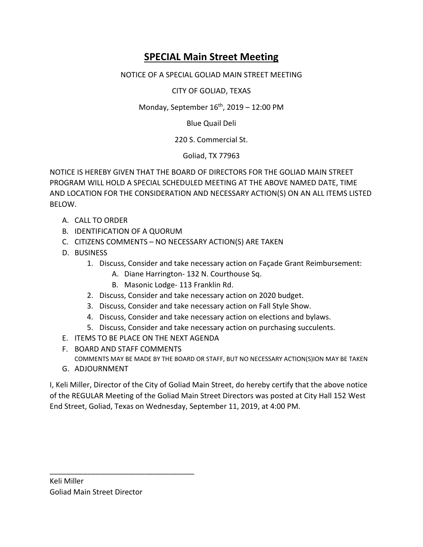## **SPECIAL Main Street Meeting**

## NOTICE OF A SPECIAL GOLIAD MAIN STREET MEETING

CITY OF GOLIAD, TEXAS

Monday, September  $16^{th}$ , 2019 – 12:00 PM

Blue Quail Deli

## 220 S. Commercial St.

Goliad, TX 77963

NOTICE IS HEREBY GIVEN THAT THE BOARD OF DIRECTORS FOR THE GOLIAD MAIN STREET PROGRAM WILL HOLD A SPECIAL SCHEDULED MEETING AT THE ABOVE NAMED DATE, TIME AND LOCATION FOR THE CONSIDERATION AND NECESSARY ACTION(S) ON AN ALL ITEMS LISTED BELOW.

- A. CALL TO ORDER
- B. IDENTIFICATION OF A QUORUM
- C. CITIZENS COMMENTS NO NECESSARY ACTION(S) ARE TAKEN
- D. BUSINESS
	- 1. Discuss, Consider and take necessary action on Façade Grant Reimbursement:
		- A. Diane Harrington- 132 N. Courthouse Sq.
		- B. Masonic Lodge- 113 Franklin Rd.
	- 2. Discuss, Consider and take necessary action on 2020 budget.
	- 3. Discuss, Consider and take necessary action on Fall Style Show.
	- 4. Discuss, Consider and take necessary action on elections and bylaws.
	- 5. Discuss, Consider and take necessary action on purchasing succulents.
- E. ITEMS TO BE PLACE ON THE NEXT AGENDA
- F. BOARD AND STAFF COMMENTS COMMENTS MAY BE MADE BY THE BOARD OR STAFF, BUT NO NECESSARY ACTION(S)ION MAY BE TAKEN
- G. ADJOURNMENT

I, Keli Miller, Director of the City of Goliad Main Street, do hereby certify that the above notice of the REGULAR Meeting of the Goliad Main Street Directors was posted at City Hall 152 West End Street, Goliad, Texas on Wednesday, September 11, 2019, at 4:00 PM.

\_\_\_\_\_\_\_\_\_\_\_\_\_\_\_\_\_\_\_\_\_\_\_\_\_\_\_\_\_\_\_\_\_\_\_